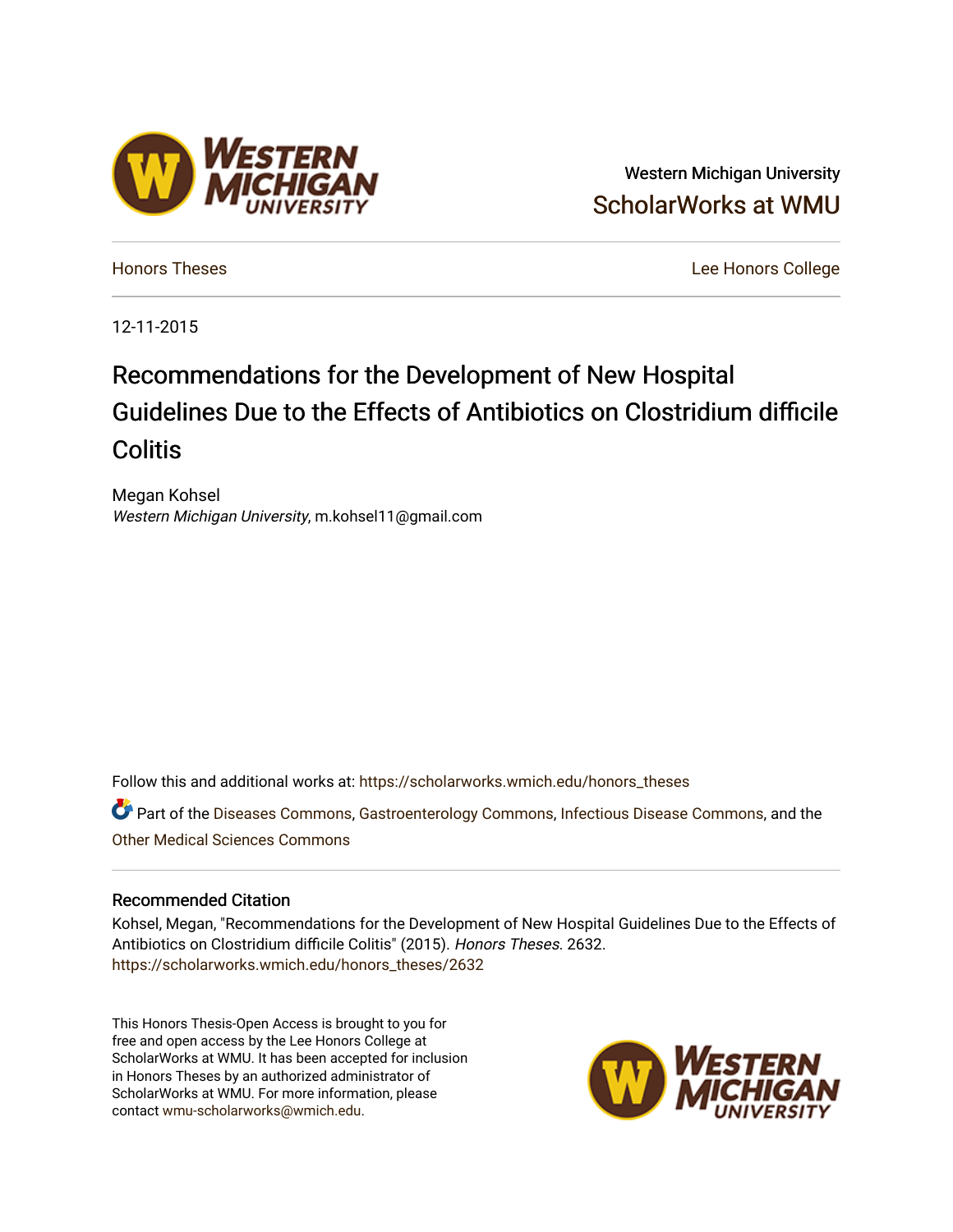# Western Michigan University [ScholarWorks at WMU](https://scholarworks.wmich.edu/)

[Honors Theses](https://scholarworks.wmich.edu/honors_theses) [Lee Honors College](https://scholarworks.wmich.edu/honors) 

12-11-2015

# Recommendations for the Development of New Hospital Guidelines Due to the Effects of Antibiotics on Clostridium difficile **Colitis**

Megan Kohsel Western Michigan University, m.kohsel11@gmail.com

Follow this and additional works at: [https://scholarworks.wmich.edu/honors\\_theses](https://scholarworks.wmich.edu/honors_theses?utm_source=scholarworks.wmich.edu%2Fhonors_theses%2F2632&utm_medium=PDF&utm_campaign=PDFCoverPages)

Part of the [Diseases Commons](http://network.bepress.com/hgg/discipline/813?utm_source=scholarworks.wmich.edu%2Fhonors_theses%2F2632&utm_medium=PDF&utm_campaign=PDFCoverPages), [Gastroenterology Commons,](http://network.bepress.com/hgg/discipline/687?utm_source=scholarworks.wmich.edu%2Fhonors_theses%2F2632&utm_medium=PDF&utm_campaign=PDFCoverPages) [Infectious Disease Commons,](http://network.bepress.com/hgg/discipline/689?utm_source=scholarworks.wmich.edu%2Fhonors_theses%2F2632&utm_medium=PDF&utm_campaign=PDFCoverPages) and the [Other Medical Sciences Commons](http://network.bepress.com/hgg/discipline/679?utm_source=scholarworks.wmich.edu%2Fhonors_theses%2F2632&utm_medium=PDF&utm_campaign=PDFCoverPages)

### Recommended Citation

Kohsel, Megan, "Recommendations for the Development of New Hospital Guidelines Due to the Effects of Antibiotics on Clostridium difficile Colitis" (2015). Honors Theses. 2632. [https://scholarworks.wmich.edu/honors\\_theses/2632](https://scholarworks.wmich.edu/honors_theses/2632?utm_source=scholarworks.wmich.edu%2Fhonors_theses%2F2632&utm_medium=PDF&utm_campaign=PDFCoverPages) 

This Honors Thesis-Open Access is brought to you for free and open access by the Lee Honors College at ScholarWorks at WMU. It has been accepted for inclusion in Honors Theses by an authorized administrator of ScholarWorks at WMU. For more information, please contact [wmu-scholarworks@wmich.edu](mailto:wmu-scholarworks@wmich.edu).



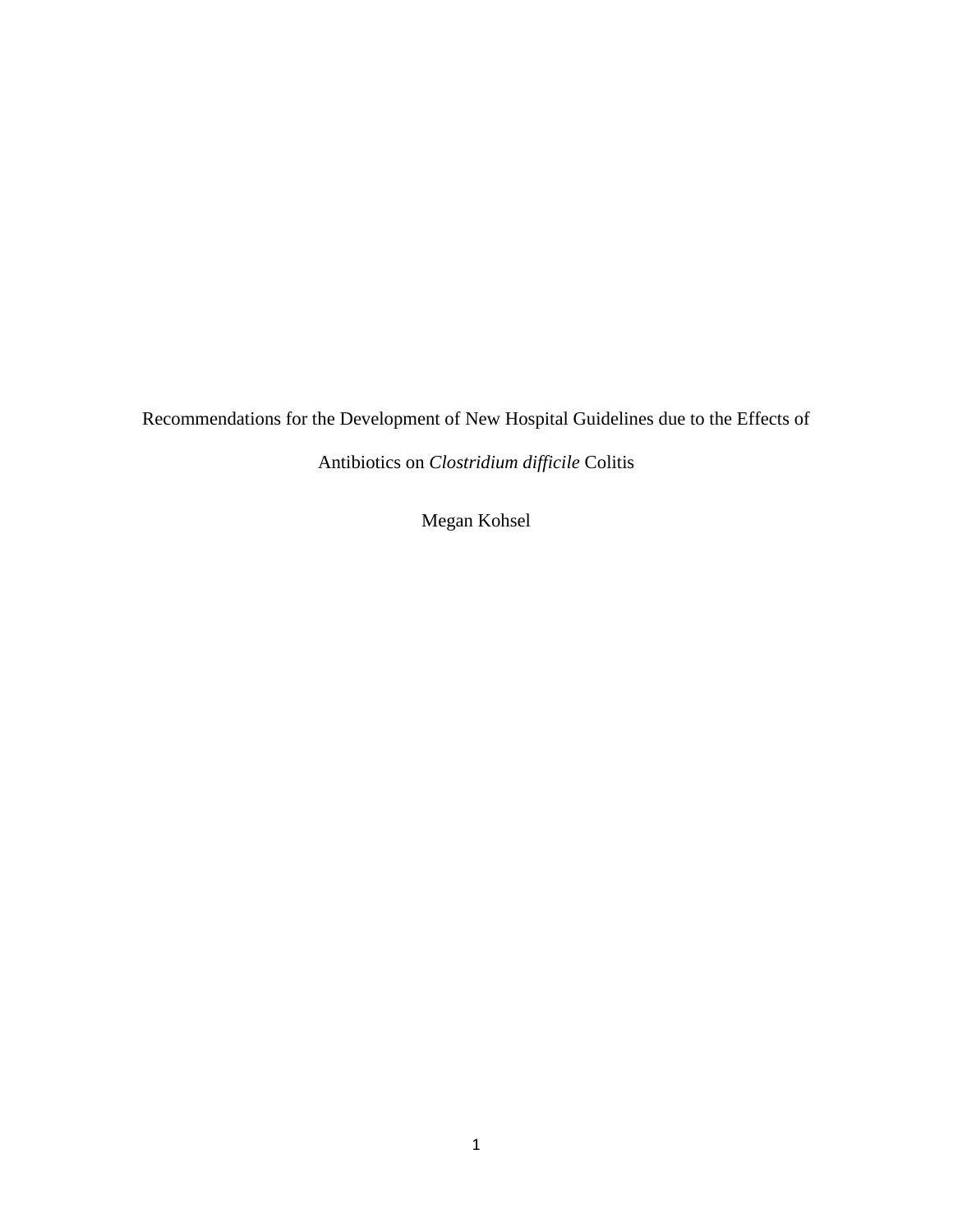Recommendations for the Development of New Hospital Guidelines due to the Effects of

Antibiotics on *Clostridium difficile* Colitis

Megan Kohsel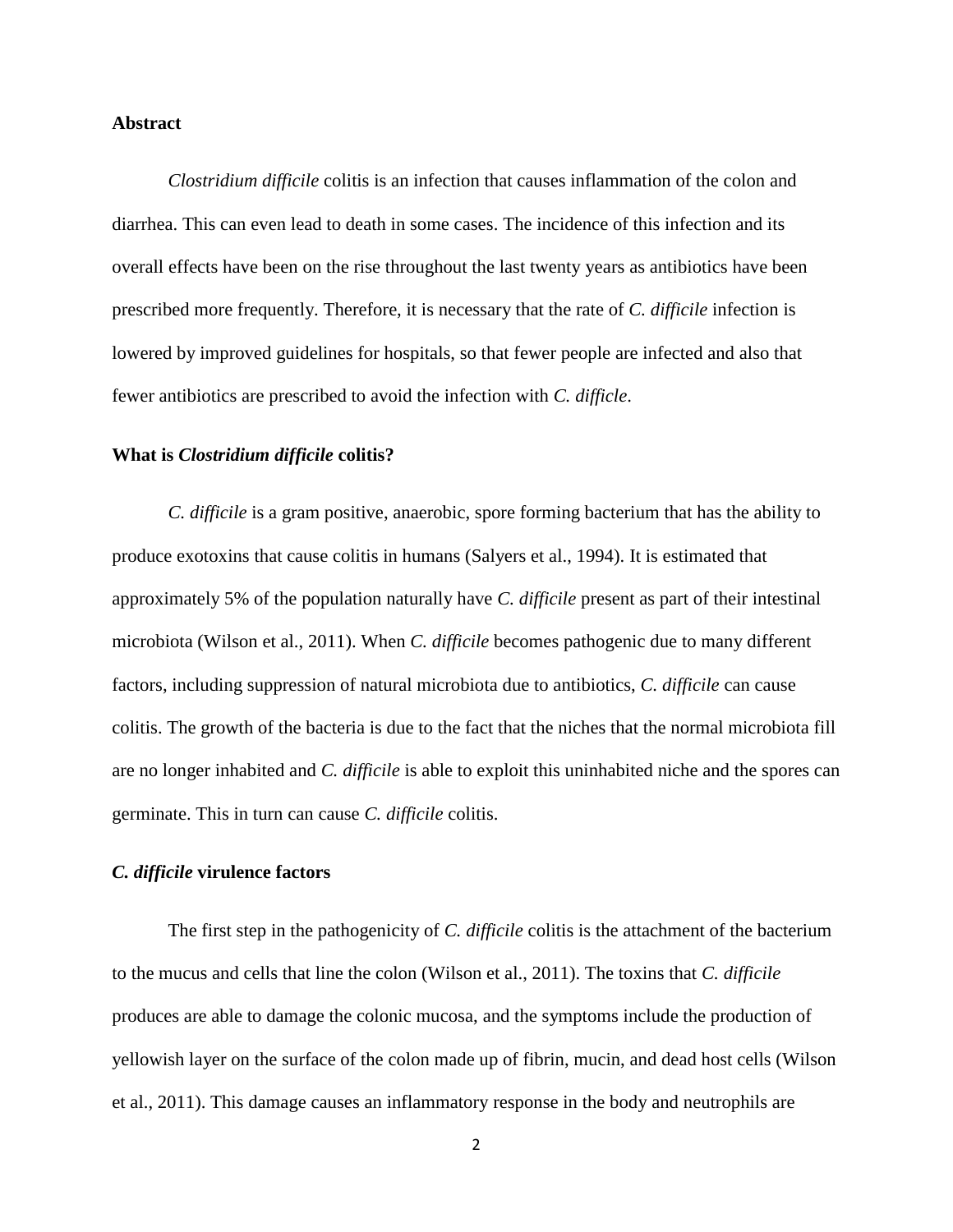#### **Abstract**

*Clostridium difficile* colitis is an infection that causes inflammation of the colon and diarrhea. This can even lead to death in some cases. The incidence of this infection and its overall effects have been on the rise throughout the last twenty years as antibiotics have been prescribed more frequently. Therefore, it is necessary that the rate of *C. difficile* infection is lowered by improved guidelines for hospitals, so that fewer people are infected and also that fewer antibiotics are prescribed to avoid the infection with *C. difficle*.

#### **What is** *Clostridium difficile* **colitis?**

*C. difficile* is a gram positive, anaerobic, spore forming bacterium that has the ability to produce exotoxins that cause colitis in humans (Salyers et al., 1994). It is estimated that approximately 5% of the population naturally have *C. difficile* present as part of their intestinal microbiota (Wilson et al., 2011). When *C. difficile* becomes pathogenic due to many different factors, including suppression of natural microbiota due to antibiotics, *C. difficile* can cause colitis. The growth of the bacteria is due to the fact that the niches that the normal microbiota fill are no longer inhabited and *C. difficile* is able to exploit this uninhabited niche and the spores can germinate. This in turn can cause *C. difficile* colitis.

# *C. difficile* **virulence factors**

The first step in the pathogenicity of *C. difficile* colitis is the attachment of the bacterium to the mucus and cells that line the colon (Wilson et al., 2011). The toxins that *C. difficile*  produces are able to damage the colonic mucosa, and the symptoms include the production of yellowish layer on the surface of the colon made up of fibrin, mucin, and dead host cells (Wilson et al., 2011). This damage causes an inflammatory response in the body and neutrophils are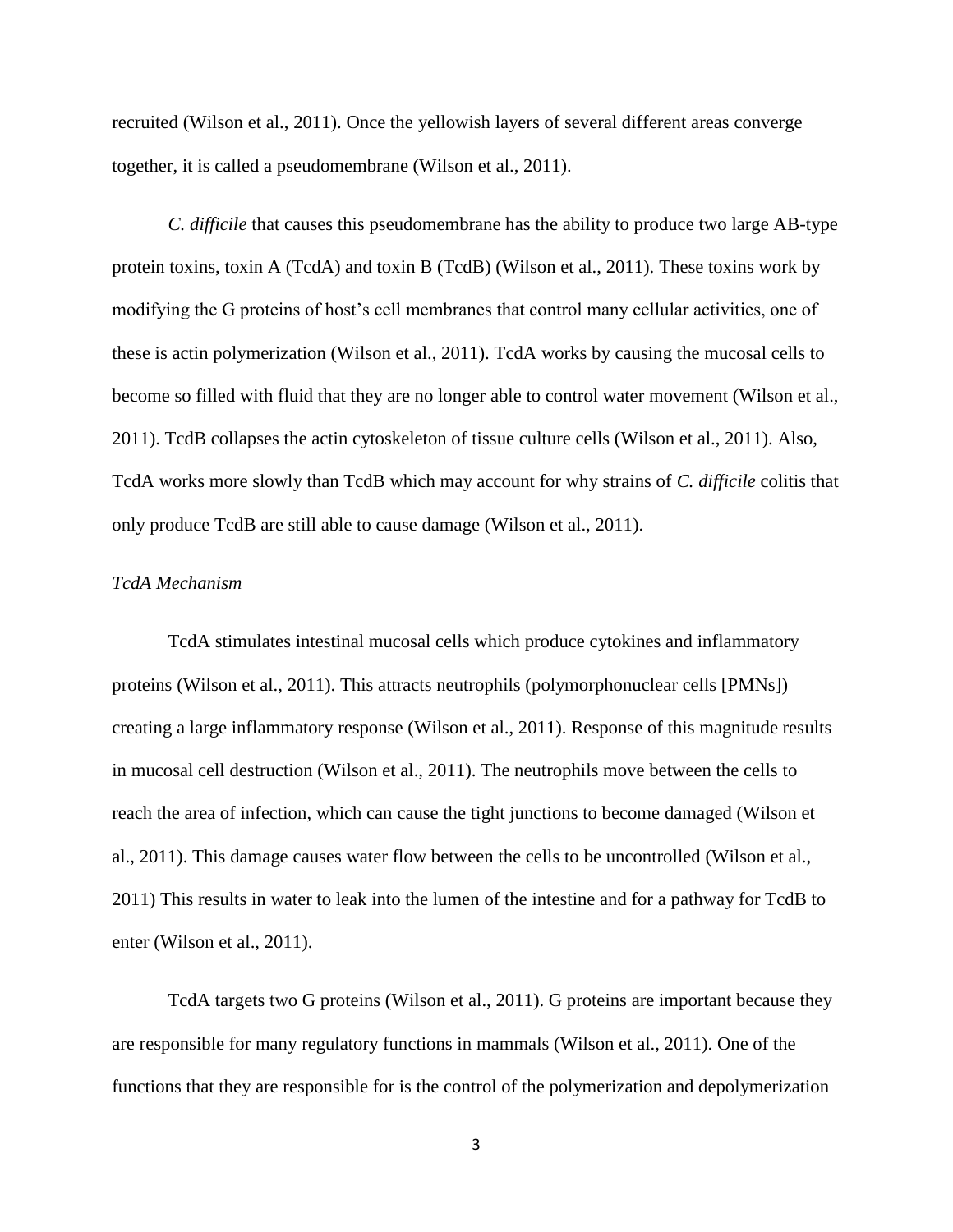recruited (Wilson et al., 2011). Once the yellowish layers of several different areas converge together, it is called a pseudomembrane (Wilson et al., 2011).

*C. difficile* that causes this pseudomembrane has the ability to produce two large AB-type protein toxins, toxin A (TcdA) and toxin B (TcdB) (Wilson et al., 2011). These toxins work by modifying the G proteins of host's cell membranes that control many cellular activities, one of these is actin polymerization (Wilson et al., 2011). TcdA works by causing the mucosal cells to become so filled with fluid that they are no longer able to control water movement (Wilson et al., 2011). TcdB collapses the actin cytoskeleton of tissue culture cells (Wilson et al., 2011). Also, TcdA works more slowly than TcdB which may account for why strains of *C. difficile* colitis that only produce TcdB are still able to cause damage (Wilson et al., 2011).

#### *TcdA Mechanism*

TcdA stimulates intestinal mucosal cells which produce cytokines and inflammatory proteins (Wilson et al., 2011). This attracts neutrophils (polymorphonuclear cells [PMNs]) creating a large inflammatory response (Wilson et al., 2011). Response of this magnitude results in mucosal cell destruction (Wilson et al., 2011). The neutrophils move between the cells to reach the area of infection, which can cause the tight junctions to become damaged (Wilson et al., 2011). This damage causes water flow between the cells to be uncontrolled (Wilson et al., 2011) This results in water to leak into the lumen of the intestine and for a pathway for TcdB to enter (Wilson et al., 2011).

TcdA targets two G proteins (Wilson et al., 2011). G proteins are important because they are responsible for many regulatory functions in mammals (Wilson et al., 2011). One of the functions that they are responsible for is the control of the polymerization and depolymerization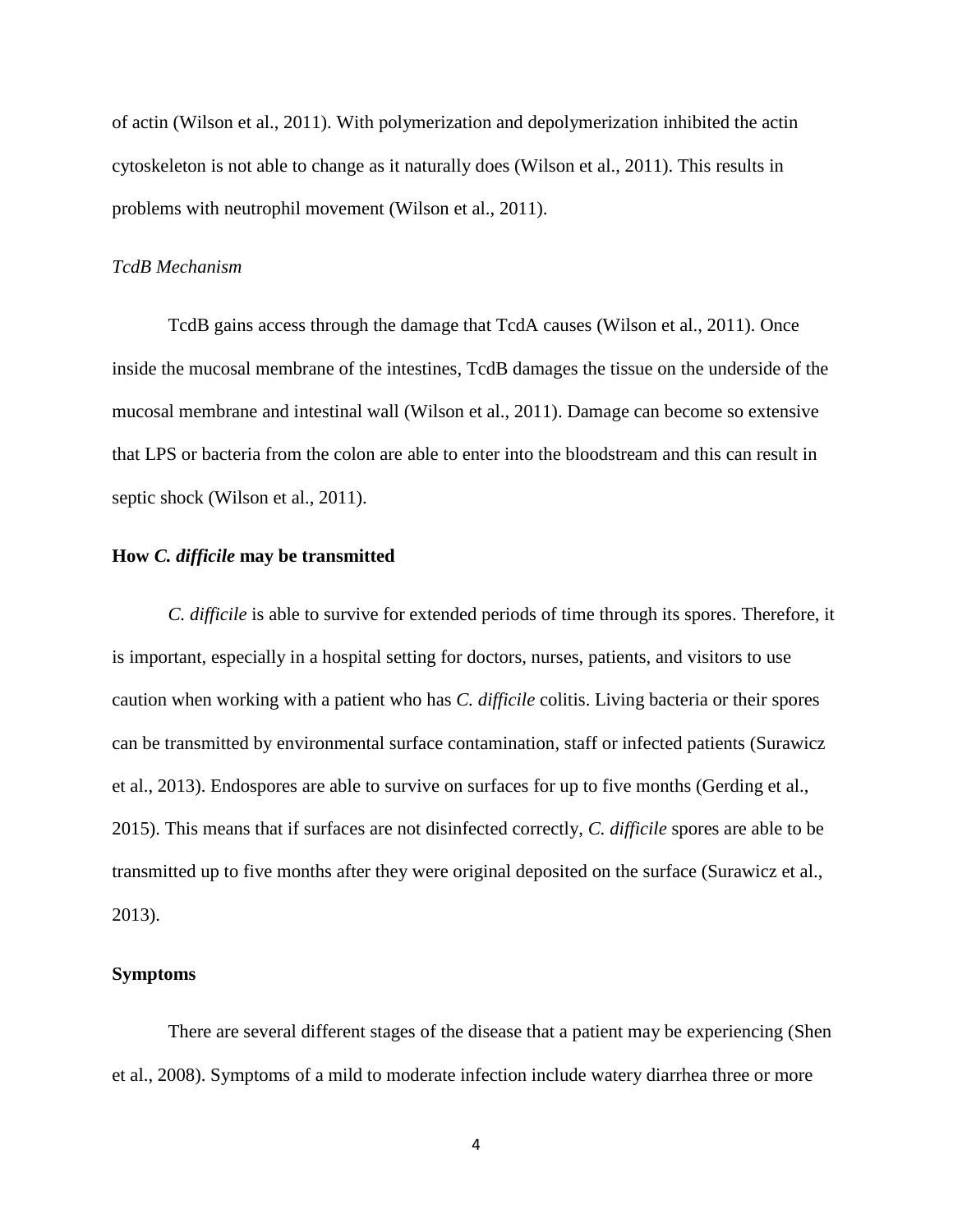of actin (Wilson et al., 2011). With polymerization and depolymerization inhibited the actin cytoskeleton is not able to change as it naturally does (Wilson et al., 2011). This results in problems with neutrophil movement (Wilson et al., 2011).

#### *TcdB Mechanism*

TcdB gains access through the damage that TcdA causes (Wilson et al., 2011). Once inside the mucosal membrane of the intestines, TcdB damages the tissue on the underside of the mucosal membrane and intestinal wall (Wilson et al., 2011). Damage can become so extensive that LPS or bacteria from the colon are able to enter into the bloodstream and this can result in septic shock (Wilson et al., 2011).

# **How** *C. difficile* **may be transmitted**

*C. difficile* is able to survive for extended periods of time through its spores. Therefore, it is important, especially in a hospital setting for doctors, nurses, patients, and visitors to use caution when working with a patient who has *C. difficile* colitis. Living bacteria or their spores can be transmitted by environmental surface contamination, staff or infected patients (Surawicz et al., 2013). Endospores are able to survive on surfaces for up to five months (Gerding et al., 2015). This means that if surfaces are not disinfected correctly, *C. difficile* spores are able to be transmitted up to five months after they were original deposited on the surface (Surawicz et al., 2013).

## **Symptoms**

There are several different stages of the disease that a patient may be experiencing (Shen et al., 2008). Symptoms of a mild to moderate infection include watery diarrhea three or more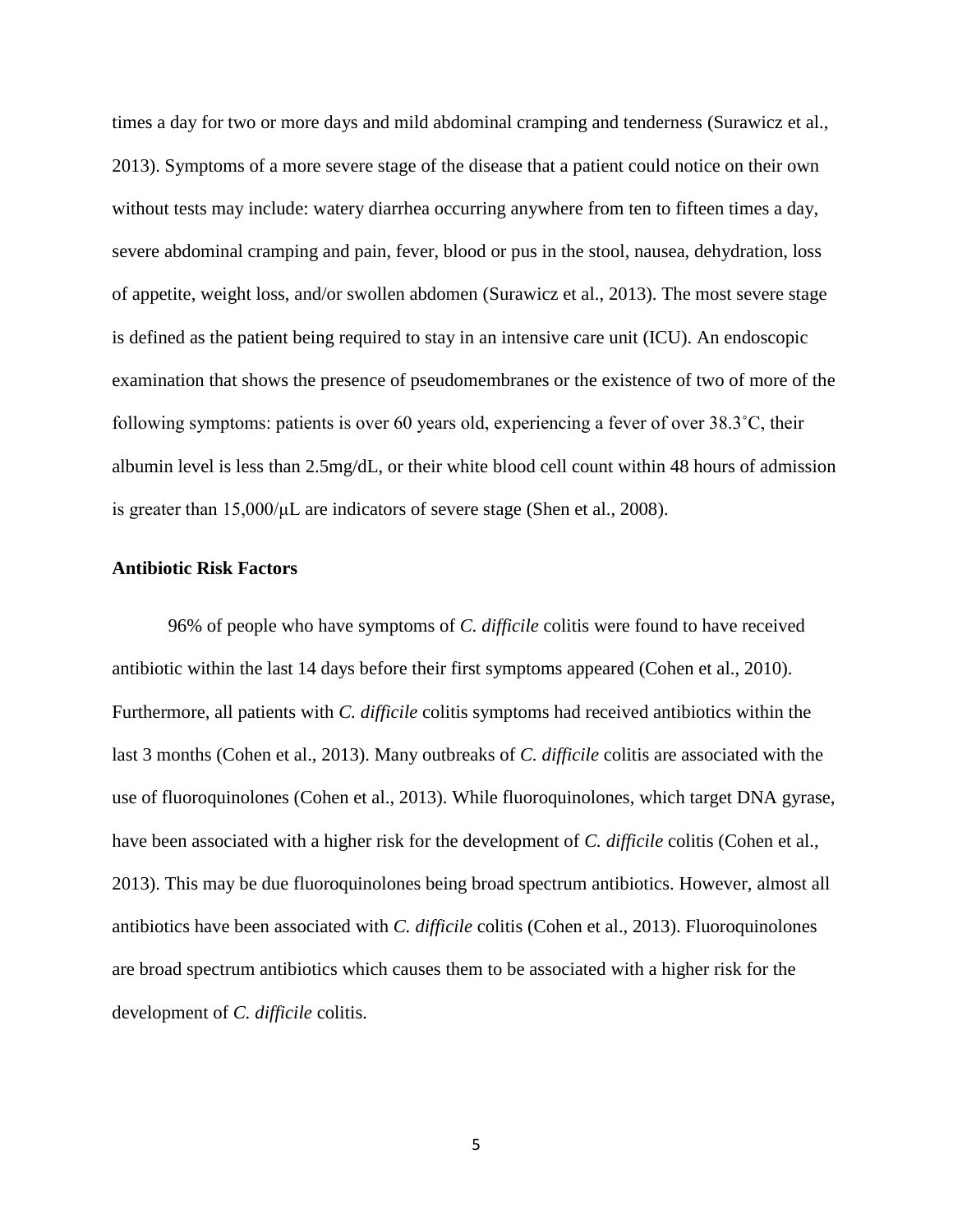times a day for two or more days and mild abdominal cramping and tenderness (Surawicz et al., 2013). Symptoms of a more severe stage of the disease that a patient could notice on their own without tests may include: watery diarrhea occurring anywhere from ten to fifteen times a day, severe abdominal cramping and pain, fever, blood or pus in the stool, nausea, dehydration, loss of appetite, weight loss, and/or swollen abdomen (Surawicz et al., 2013). The most severe stage is defined as the patient being required to stay in an intensive care unit (ICU). An endoscopic examination that shows the presence of pseudomembranes or the existence of two of more of the following symptoms: patients is over 60 years old, experiencing a fever of over 38.3˚C, their albumin level is less than 2.5mg/dL, or their white blood cell count within 48 hours of admission is greater than 15,000/μL are indicators of severe stage (Shen et al., 2008).

# **Antibiotic Risk Factors**

96% of people who have symptoms of *C. difficile* colitis were found to have received antibiotic within the last 14 days before their first symptoms appeared (Cohen et al., 2010). Furthermore, all patients with *C. difficile* colitis symptoms had received antibiotics within the last 3 months (Cohen et al., 2013). Many outbreaks of *C. difficile* colitis are associated with the use of fluoroquinolones (Cohen et al., 2013). While fluoroquinolones, which target DNA gyrase, have been associated with a higher risk for the development of *C. difficile* colitis (Cohen et al., 2013). This may be due fluoroquinolones being broad spectrum antibiotics. However, almost all antibiotics have been associated with *C. difficile* colitis (Cohen et al., 2013). Fluoroquinolones are broad spectrum antibiotics which causes them to be associated with a higher risk for the development of *C. difficile* colitis.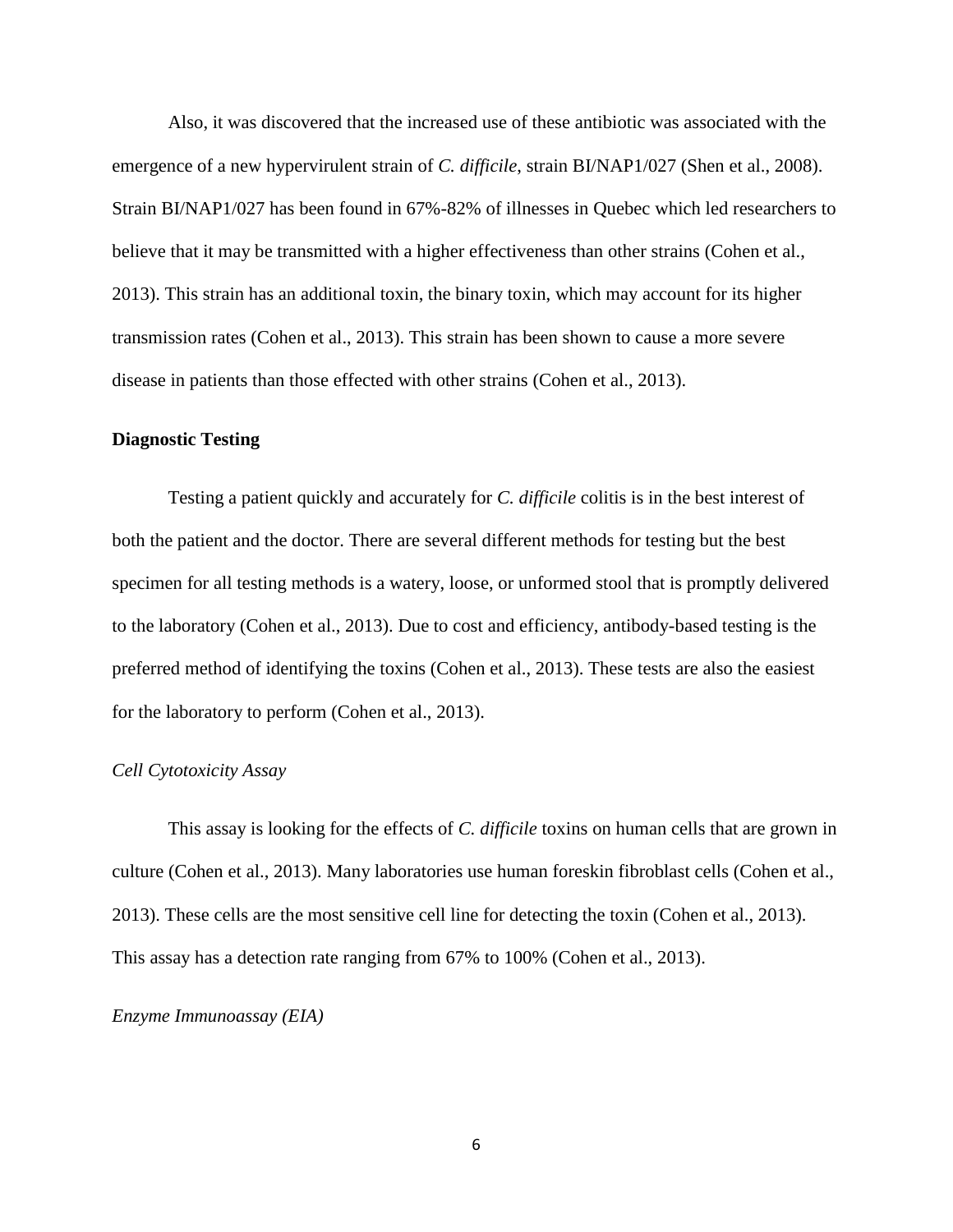Also, it was discovered that the increased use of these antibiotic was associated with the emergence of a new hypervirulent strain of *C. difficile*, strain BI/NAP1/027 (Shen et al., 2008). Strain BI/NAP1/027 has been found in 67%-82% of illnesses in Quebec which led researchers to believe that it may be transmitted with a higher effectiveness than other strains (Cohen et al., 2013). This strain has an additional toxin, the binary toxin, which may account for its higher transmission rates (Cohen et al., 2013). This strain has been shown to cause a more severe disease in patients than those effected with other strains (Cohen et al., 2013).

#### **Diagnostic Testing**

Testing a patient quickly and accurately for *C. difficile* colitis is in the best interest of both the patient and the doctor. There are several different methods for testing but the best specimen for all testing methods is a watery, loose, or unformed stool that is promptly delivered to the laboratory (Cohen et al., 2013). Due to cost and efficiency, antibody-based testing is the preferred method of identifying the toxins (Cohen et al., 2013). These tests are also the easiest for the laboratory to perform (Cohen et al., 2013).

#### *Cell Cytotoxicity Assay*

This assay is looking for the effects of *C. difficile* toxins on human cells that are grown in culture (Cohen et al., 2013). Many laboratories use human foreskin fibroblast cells (Cohen et al., 2013). These cells are the most sensitive cell line for detecting the toxin (Cohen et al., 2013). This assay has a detection rate ranging from 67% to 100% (Cohen et al., 2013).

*Enzyme Immunoassay (EIA)*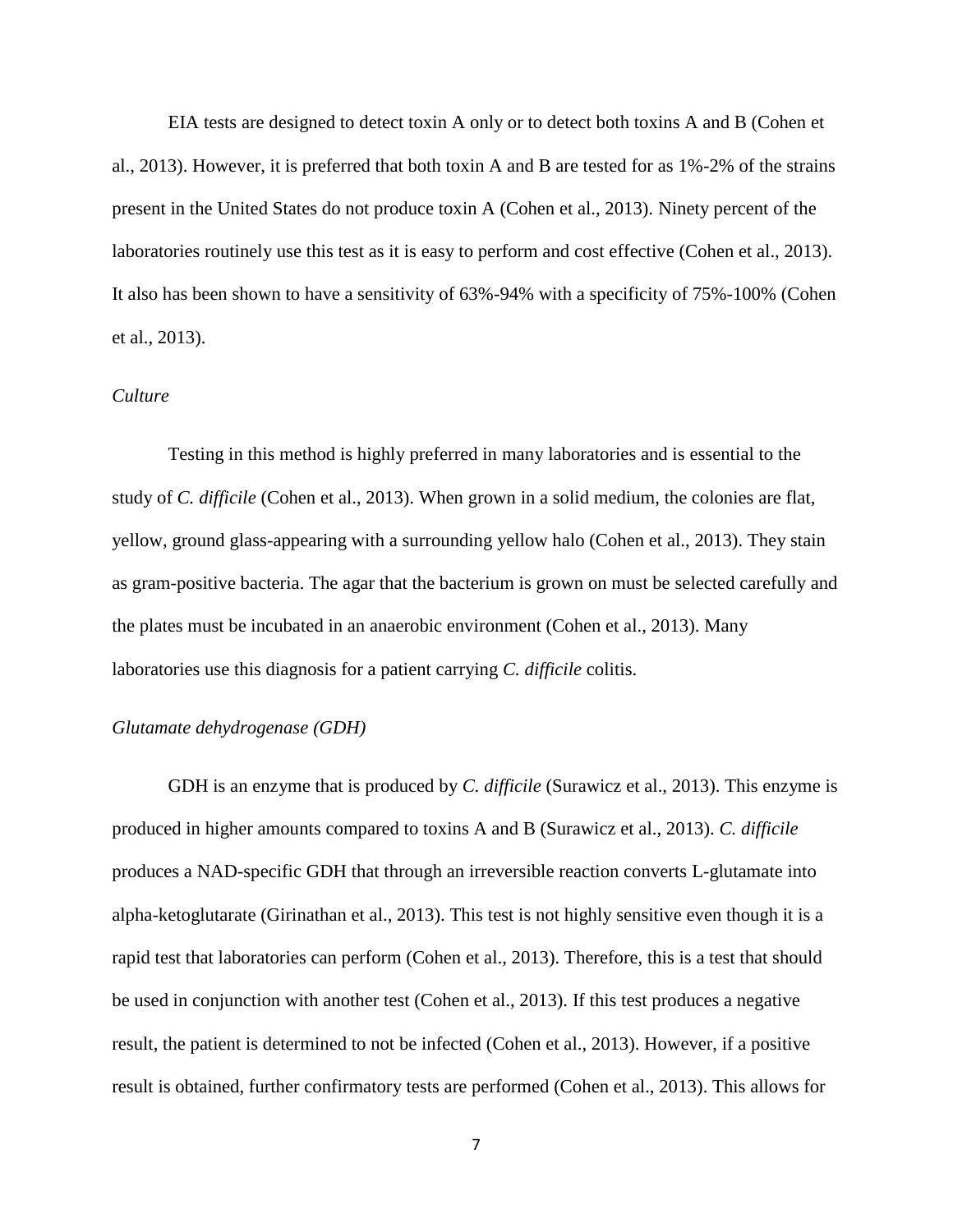EIA tests are designed to detect toxin A only or to detect both toxins A and B (Cohen et al., 2013). However, it is preferred that both toxin A and B are tested for as 1%-2% of the strains present in the United States do not produce toxin A (Cohen et al., 2013). Ninety percent of the laboratories routinely use this test as it is easy to perform and cost effective (Cohen et al., 2013). It also has been shown to have a sensitivity of 63%-94% with a specificity of 75%-100% (Cohen et al., 2013).

#### *Culture*

Testing in this method is highly preferred in many laboratories and is essential to the study of *C. difficile* (Cohen et al., 2013). When grown in a solid medium, the colonies are flat, yellow, ground glass-appearing with a surrounding yellow halo (Cohen et al., 2013). They stain as gram-positive bacteria. The agar that the bacterium is grown on must be selected carefully and the plates must be incubated in an anaerobic environment (Cohen et al., 2013). Many laboratories use this diagnosis for a patient carrying *C. difficile* colitis.

#### *Glutamate dehydrogenase (GDH)*

GDH is an enzyme that is produced by *C. difficile* (Surawicz et al., 2013). This enzyme is produced in higher amounts compared to toxins A and B (Surawicz et al., 2013). *C. difficile* produces a NAD-specific GDH that through an irreversible reaction converts L-glutamate into alpha-ketoglutarate (Girinathan et al., 2013). This test is not highly sensitive even though it is a rapid test that laboratories can perform (Cohen et al., 2013). Therefore, this is a test that should be used in conjunction with another test (Cohen et al., 2013). If this test produces a negative result, the patient is determined to not be infected (Cohen et al., 2013). However, if a positive result is obtained, further confirmatory tests are performed (Cohen et al., 2013). This allows for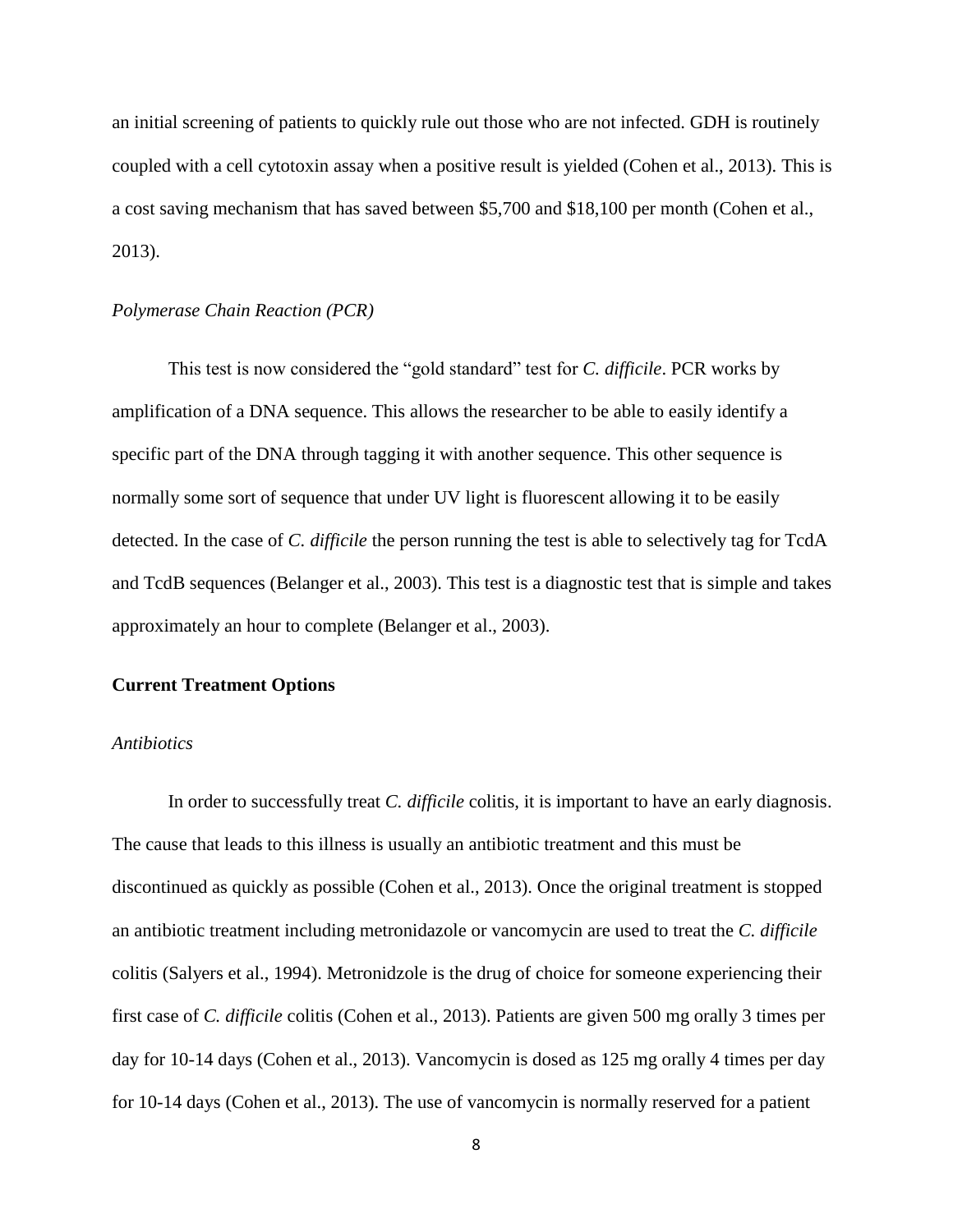an initial screening of patients to quickly rule out those who are not infected. GDH is routinely coupled with a cell cytotoxin assay when a positive result is yielded (Cohen et al., 2013). This is a cost saving mechanism that has saved between \$5,700 and \$18,100 per month (Cohen et al., 2013).

## *Polymerase Chain Reaction (PCR)*

This test is now considered the "gold standard" test for *C. difficile*. PCR works by amplification of a DNA sequence. This allows the researcher to be able to easily identify a specific part of the DNA through tagging it with another sequence. This other sequence is normally some sort of sequence that under UV light is fluorescent allowing it to be easily detected. In the case of *C. difficile* the person running the test is able to selectively tag for TcdA and TcdB sequences (Belanger et al., 2003). This test is a diagnostic test that is simple and takes approximately an hour to complete (Belanger et al., 2003).

#### **Current Treatment Options**

#### *Antibiotics*

In order to successfully treat *C. difficile* colitis*,* it is important to have an early diagnosis. The cause that leads to this illness is usually an antibiotic treatment and this must be discontinued as quickly as possible (Cohen et al., 2013). Once the original treatment is stopped an antibiotic treatment including metronidazole or vancomycin are used to treat the *C. difficile*  colitis (Salyers et al., 1994). Metronidzole is the drug of choice for someone experiencing their first case of *C. difficile* colitis (Cohen et al., 2013). Patients are given 500 mg orally 3 times per day for 10-14 days (Cohen et al., 2013). Vancomycin is dosed as 125 mg orally 4 times per day for 10-14 days (Cohen et al., 2013). The use of vancomycin is normally reserved for a patient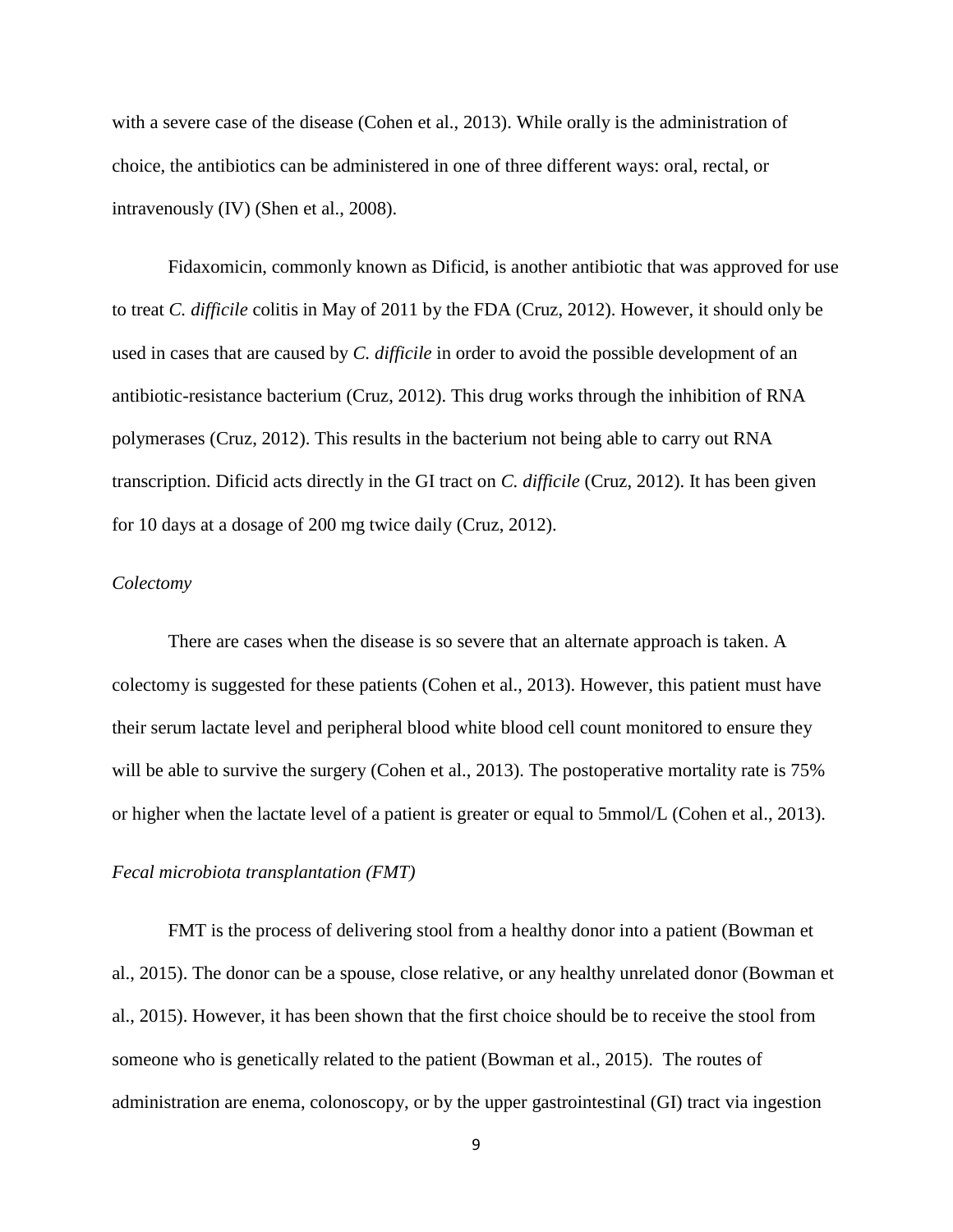with a severe case of the disease (Cohen et al., 2013). While orally is the administration of choice, the antibiotics can be administered in one of three different ways: oral, rectal, or intravenously (IV) (Shen et al., 2008).

Fidaxomicin, commonly known as Dificid, is another antibiotic that was approved for use to treat *C. difficile* colitis in May of 2011 by the FDA (Cruz, 2012). However, it should only be used in cases that are caused by *C. difficile* in order to avoid the possible development of an antibiotic-resistance bacterium (Cruz, 2012). This drug works through the inhibition of RNA polymerases (Cruz, 2012). This results in the bacterium not being able to carry out RNA transcription. Dificid acts directly in the GI tract on *C. difficile* (Cruz, 2012). It has been given for 10 days at a dosage of 200 mg twice daily (Cruz, 2012).

#### *Colectomy*

There are cases when the disease is so severe that an alternate approach is taken. A colectomy is suggested for these patients (Cohen et al., 2013). However, this patient must have their serum lactate level and peripheral blood white blood cell count monitored to ensure they will be able to survive the surgery (Cohen et al., 2013). The postoperative mortality rate is 75% or higher when the lactate level of a patient is greater or equal to 5mmol/L (Cohen et al., 2013).

# *Fecal microbiota transplantation (FMT)*

FMT is the process of delivering stool from a healthy donor into a patient (Bowman et al., 2015). The donor can be a spouse, close relative, or any healthy unrelated donor (Bowman et al., 2015). However, it has been shown that the first choice should be to receive the stool from someone who is genetically related to the patient (Bowman et al., 2015). The routes of administration are enema, colonoscopy, or by the upper gastrointestinal (GI) tract via ingestion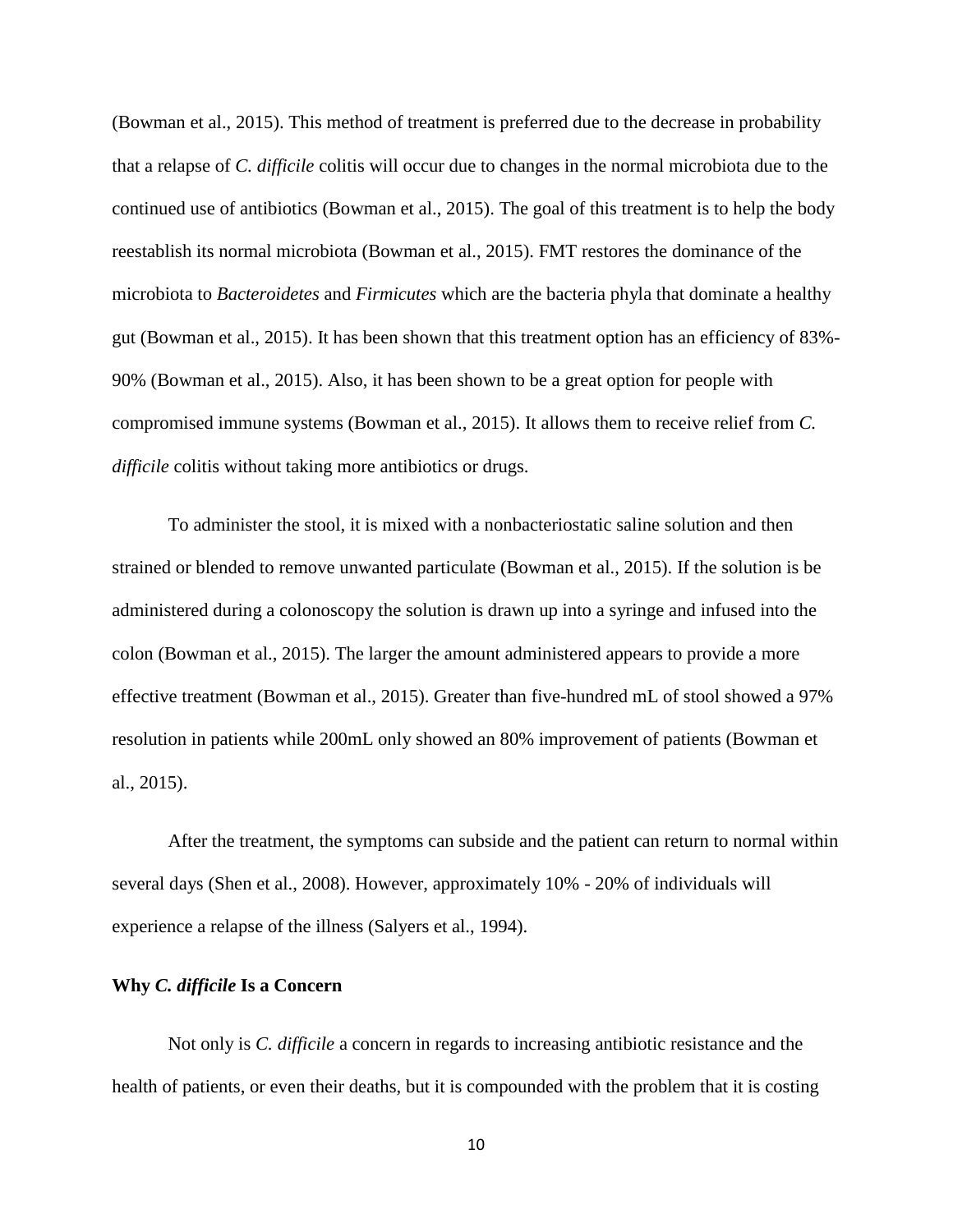(Bowman et al., 2015). This method of treatment is preferred due to the decrease in probability that a relapse of *C. difficile* colitis will occur due to changes in the normal microbiota due to the continued use of antibiotics (Bowman et al., 2015). The goal of this treatment is to help the body reestablish its normal microbiota (Bowman et al., 2015). FMT restores the dominance of the microbiota to *Bacteroidetes* and *Firmicutes* which are the bacteria phyla that dominate a healthy gut (Bowman et al., 2015). It has been shown that this treatment option has an efficiency of 83%- 90% (Bowman et al., 2015). Also, it has been shown to be a great option for people with compromised immune systems (Bowman et al., 2015). It allows them to receive relief from *C. difficile* colitis without taking more antibiotics or drugs.

To administer the stool, it is mixed with a nonbacteriostatic saline solution and then strained or blended to remove unwanted particulate (Bowman et al., 2015). If the solution is be administered during a colonoscopy the solution is drawn up into a syringe and infused into the colon (Bowman et al., 2015). The larger the amount administered appears to provide a more effective treatment (Bowman et al., 2015). Greater than five-hundred mL of stool showed a 97% resolution in patients while 200mL only showed an 80% improvement of patients (Bowman et al., 2015).

After the treatment, the symptoms can subside and the patient can return to normal within several days (Shen et al., 2008). However, approximately 10% - 20% of individuals will experience a relapse of the illness (Salyers et al., 1994).

#### **Why** *C. difficile* **Is a Concern**

Not only is *C. difficile* a concern in regards to increasing antibiotic resistance and the health of patients, or even their deaths, but it is compounded with the problem that it is costing

10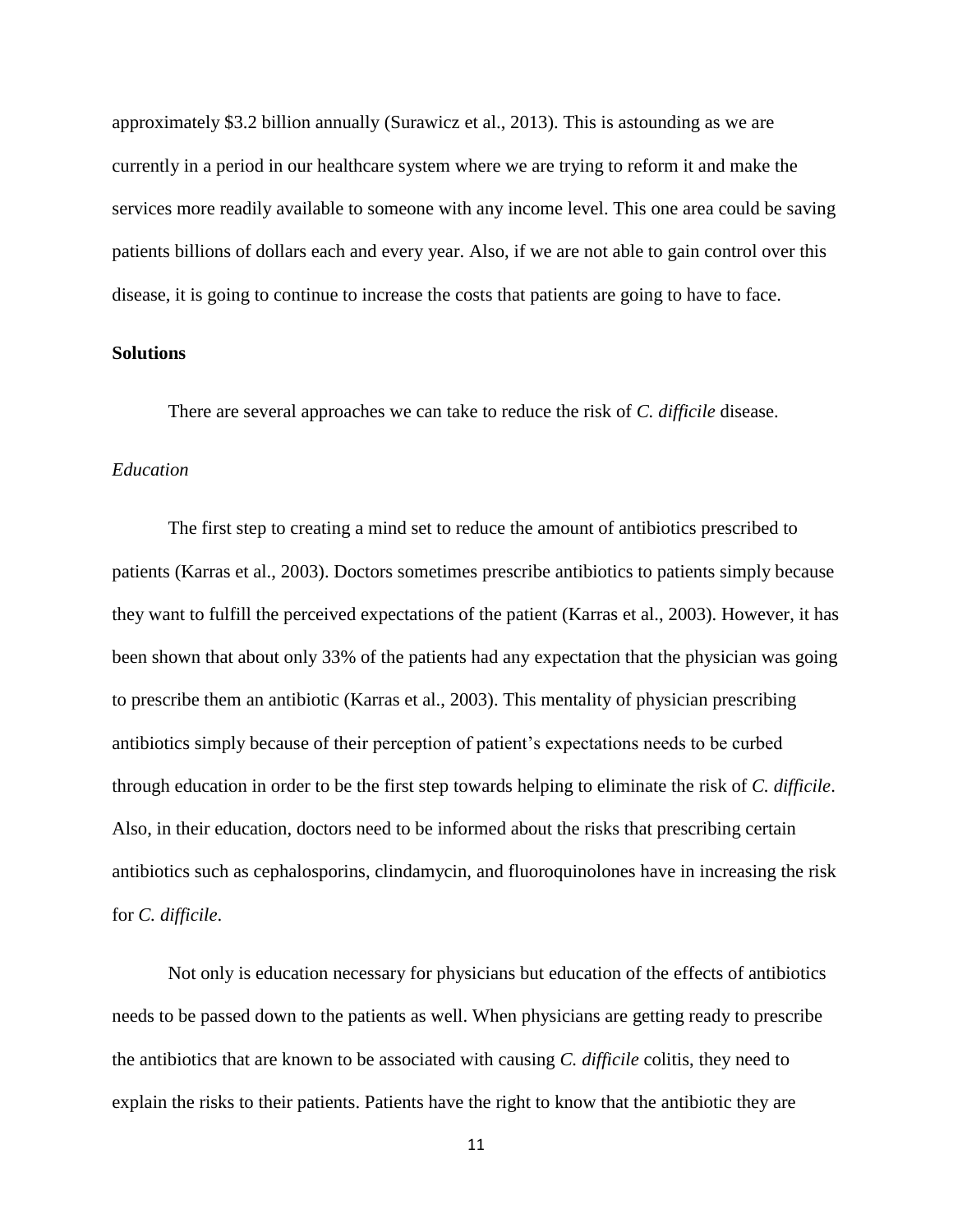approximately \$3.2 billion annually (Surawicz et al., 2013). This is astounding as we are currently in a period in our healthcare system where we are trying to reform it and make the services more readily available to someone with any income level. This one area could be saving patients billions of dollars each and every year. Also, if we are not able to gain control over this disease, it is going to continue to increase the costs that patients are going to have to face.

#### **Solutions**

There are several approaches we can take to reduce the risk of *C. difficile* disease.

## *Education*

The first step to creating a mind set to reduce the amount of antibiotics prescribed to patients (Karras et al., 2003). Doctors sometimes prescribe antibiotics to patients simply because they want to fulfill the perceived expectations of the patient (Karras et al., 2003). However, it has been shown that about only 33% of the patients had any expectation that the physician was going to prescribe them an antibiotic (Karras et al., 2003). This mentality of physician prescribing antibiotics simply because of their perception of patient's expectations needs to be curbed through education in order to be the first step towards helping to eliminate the risk of *C. difficile*. Also, in their education, doctors need to be informed about the risks that prescribing certain antibiotics such as cephalosporins, clindamycin, and fluoroquinolones have in increasing the risk for *C. difficile*.

Not only is education necessary for physicians but education of the effects of antibiotics needs to be passed down to the patients as well. When physicians are getting ready to prescribe the antibiotics that are known to be associated with causing *C. difficile* colitis, they need to explain the risks to their patients. Patients have the right to know that the antibiotic they are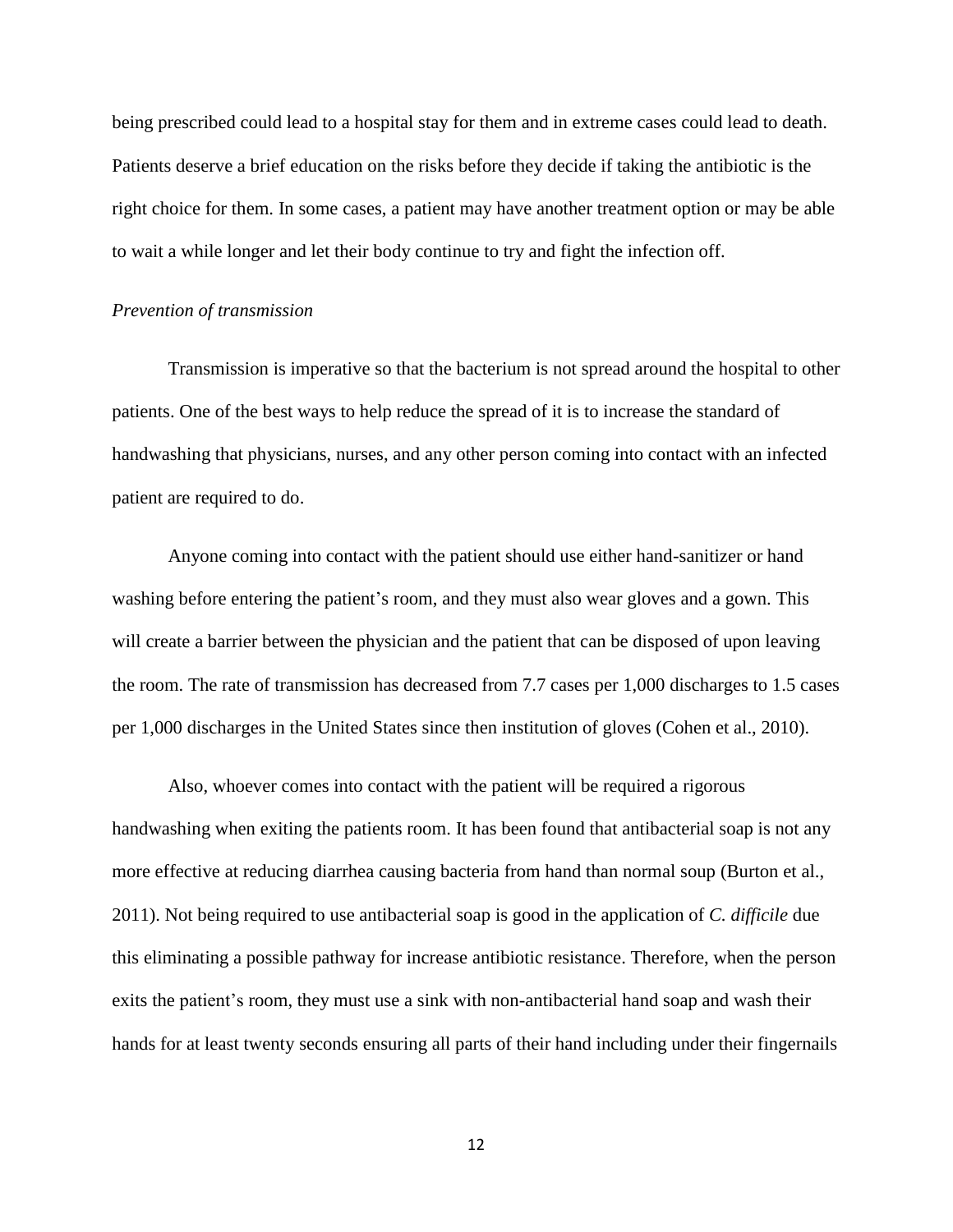being prescribed could lead to a hospital stay for them and in extreme cases could lead to death. Patients deserve a brief education on the risks before they decide if taking the antibiotic is the right choice for them. In some cases, a patient may have another treatment option or may be able to wait a while longer and let their body continue to try and fight the infection off.

#### *Prevention of transmission*

Transmission is imperative so that the bacterium is not spread around the hospital to other patients. One of the best ways to help reduce the spread of it is to increase the standard of handwashing that physicians, nurses, and any other person coming into contact with an infected patient are required to do.

Anyone coming into contact with the patient should use either hand-sanitizer or hand washing before entering the patient's room, and they must also wear gloves and a gown. This will create a barrier between the physician and the patient that can be disposed of upon leaving the room. The rate of transmission has decreased from 7.7 cases per 1,000 discharges to 1.5 cases per 1,000 discharges in the United States since then institution of gloves (Cohen et al., 2010).

Also, whoever comes into contact with the patient will be required a rigorous handwashing when exiting the patients room. It has been found that antibacterial soap is not any more effective at reducing diarrhea causing bacteria from hand than normal soup (Burton et al., 2011). Not being required to use antibacterial soap is good in the application of *C. difficile* due this eliminating a possible pathway for increase antibiotic resistance. Therefore, when the person exits the patient's room, they must use a sink with non-antibacterial hand soap and wash their hands for at least twenty seconds ensuring all parts of their hand including under their fingernails

12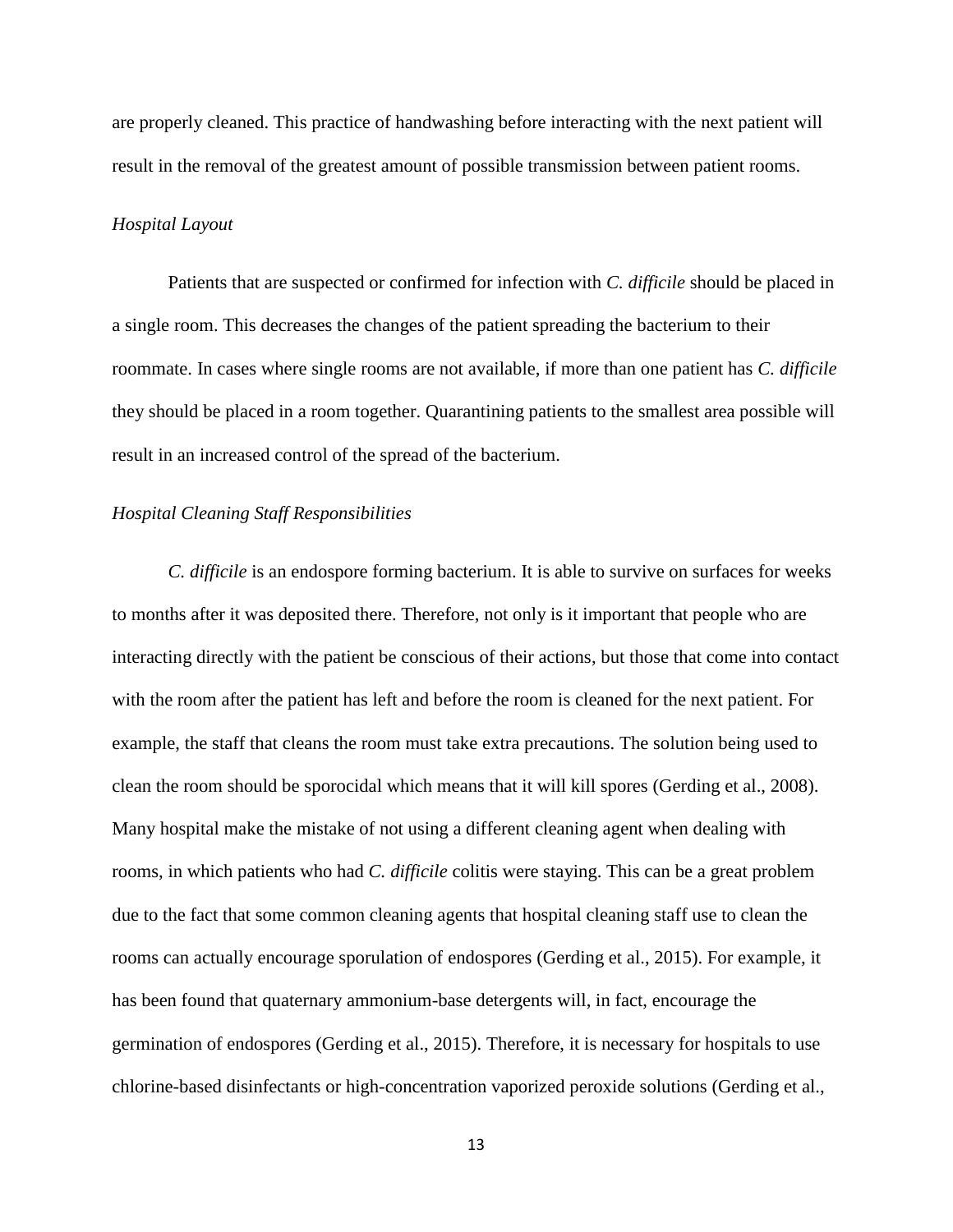are properly cleaned. This practice of handwashing before interacting with the next patient will result in the removal of the greatest amount of possible transmission between patient rooms.

#### *Hospital Layout*

Patients that are suspected or confirmed for infection with *C. difficile* should be placed in a single room. This decreases the changes of the patient spreading the bacterium to their roommate. In cases where single rooms are not available, if more than one patient has *C. difficile* they should be placed in a room together. Quarantining patients to the smallest area possible will result in an increased control of the spread of the bacterium.

# *Hospital Cleaning Staff Responsibilities*

*C. difficile* is an endospore forming bacterium. It is able to survive on surfaces for weeks to months after it was deposited there. Therefore, not only is it important that people who are interacting directly with the patient be conscious of their actions, but those that come into contact with the room after the patient has left and before the room is cleaned for the next patient. For example, the staff that cleans the room must take extra precautions. The solution being used to clean the room should be sporocidal which means that it will kill spores (Gerding et al., 2008). Many hospital make the mistake of not using a different cleaning agent when dealing with rooms, in which patients who had *C. difficile* colitis were staying. This can be a great problem due to the fact that some common cleaning agents that hospital cleaning staff use to clean the rooms can actually encourage sporulation of endospores (Gerding et al., 2015). For example, it has been found that quaternary ammonium-base detergents will, in fact, encourage the germination of endospores (Gerding et al., 2015). Therefore, it is necessary for hospitals to use chlorine-based disinfectants or high-concentration vaporized peroxide solutions (Gerding et al.,

13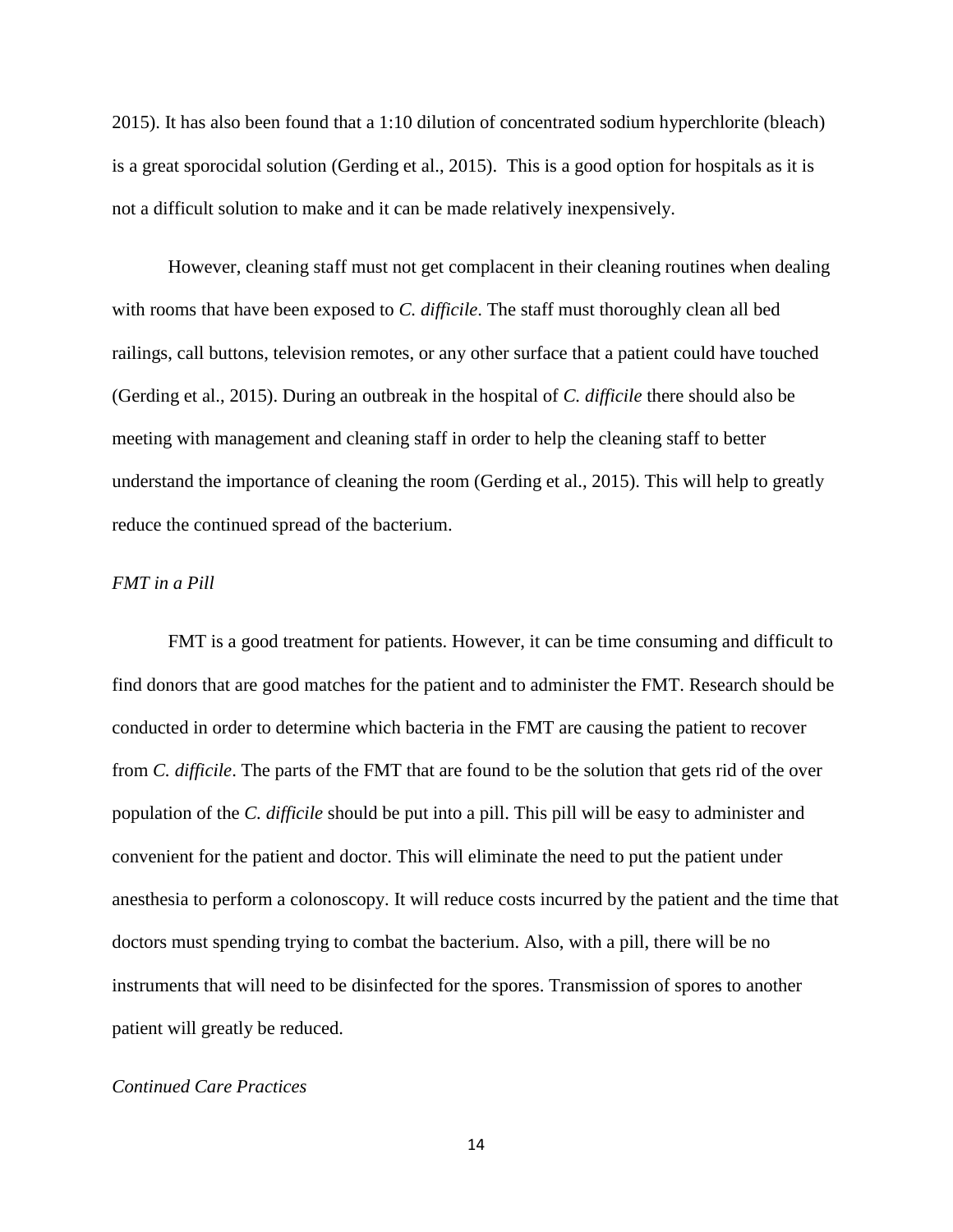2015). It has also been found that a 1:10 dilution of concentrated sodium hyperchlorite (bleach) is a great sporocidal solution (Gerding et al., 2015). This is a good option for hospitals as it is not a difficult solution to make and it can be made relatively inexpensively.

However, cleaning staff must not get complacent in their cleaning routines when dealing with rooms that have been exposed to *C. difficile*. The staff must thoroughly clean all bed railings, call buttons, television remotes, or any other surface that a patient could have touched (Gerding et al., 2015). During an outbreak in the hospital of *C. difficile* there should also be meeting with management and cleaning staff in order to help the cleaning staff to better understand the importance of cleaning the room (Gerding et al., 2015). This will help to greatly reduce the continued spread of the bacterium.

# *FMT in a Pill*

FMT is a good treatment for patients. However, it can be time consuming and difficult to find donors that are good matches for the patient and to administer the FMT. Research should be conducted in order to determine which bacteria in the FMT are causing the patient to recover from *C. difficile*. The parts of the FMT that are found to be the solution that gets rid of the over population of the *C. difficile* should be put into a pill. This pill will be easy to administer and convenient for the patient and doctor. This will eliminate the need to put the patient under anesthesia to perform a colonoscopy. It will reduce costs incurred by the patient and the time that doctors must spending trying to combat the bacterium. Also, with a pill, there will be no instruments that will need to be disinfected for the spores. Transmission of spores to another patient will greatly be reduced.

# *Continued Care Practices*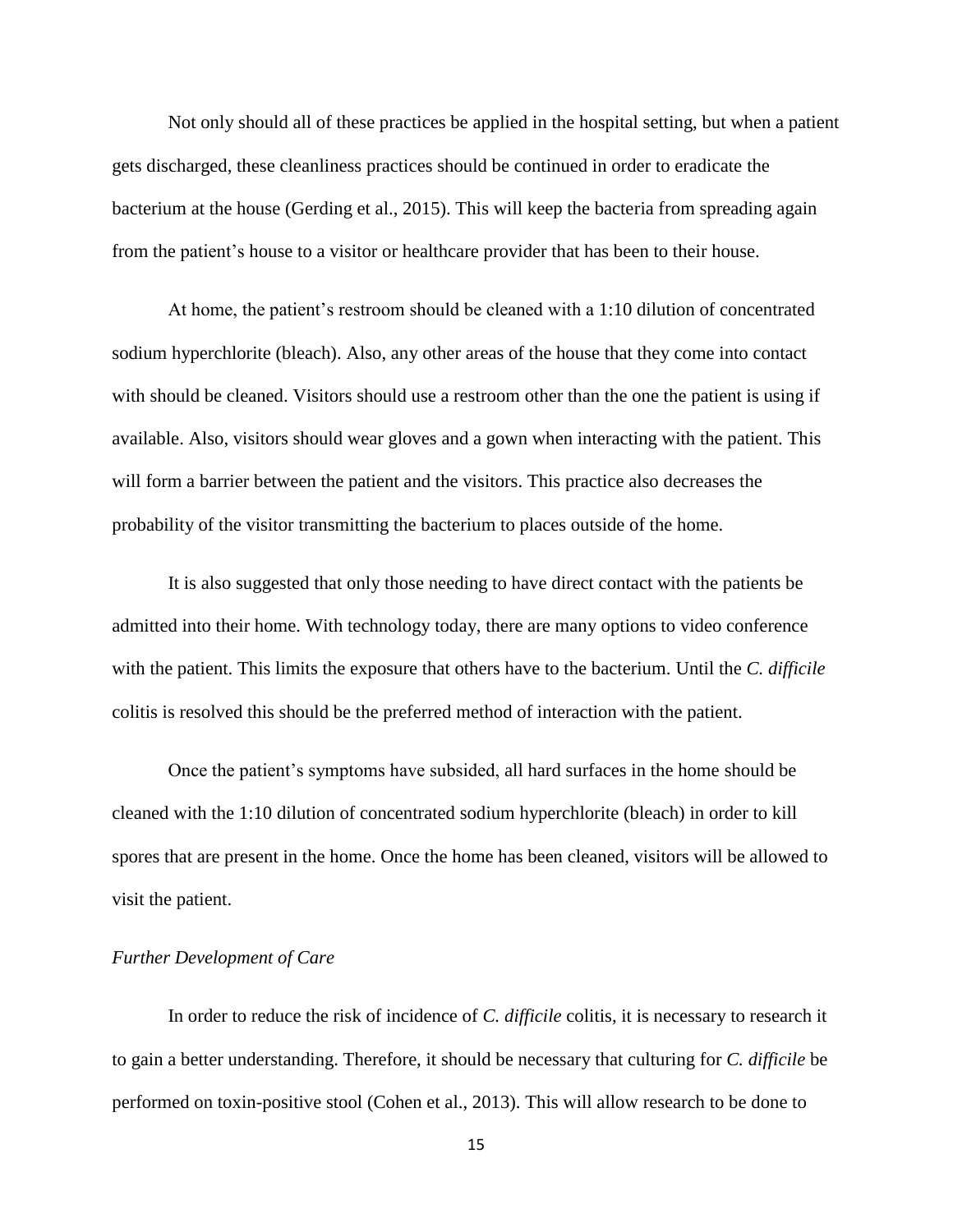Not only should all of these practices be applied in the hospital setting, but when a patient gets discharged, these cleanliness practices should be continued in order to eradicate the bacterium at the house (Gerding et al., 2015). This will keep the bacteria from spreading again from the patient's house to a visitor or healthcare provider that has been to their house.

At home, the patient's restroom should be cleaned with a 1:10 dilution of concentrated sodium hyperchlorite (bleach). Also, any other areas of the house that they come into contact with should be cleaned. Visitors should use a restroom other than the one the patient is using if available. Also, visitors should wear gloves and a gown when interacting with the patient. This will form a barrier between the patient and the visitors. This practice also decreases the probability of the visitor transmitting the bacterium to places outside of the home.

It is also suggested that only those needing to have direct contact with the patients be admitted into their home. With technology today, there are many options to video conference with the patient. This limits the exposure that others have to the bacterium. Until the *C. difficile*  colitis is resolved this should be the preferred method of interaction with the patient.

Once the patient's symptoms have subsided, all hard surfaces in the home should be cleaned with the 1:10 dilution of concentrated sodium hyperchlorite (bleach) in order to kill spores that are present in the home. Once the home has been cleaned, visitors will be allowed to visit the patient.

## *Further Development of Care*

In order to reduce the risk of incidence of *C. difficile* colitis, it is necessary to research it to gain a better understanding. Therefore, it should be necessary that culturing for *C. difficile* be performed on toxin-positive stool (Cohen et al., 2013). This will allow research to be done to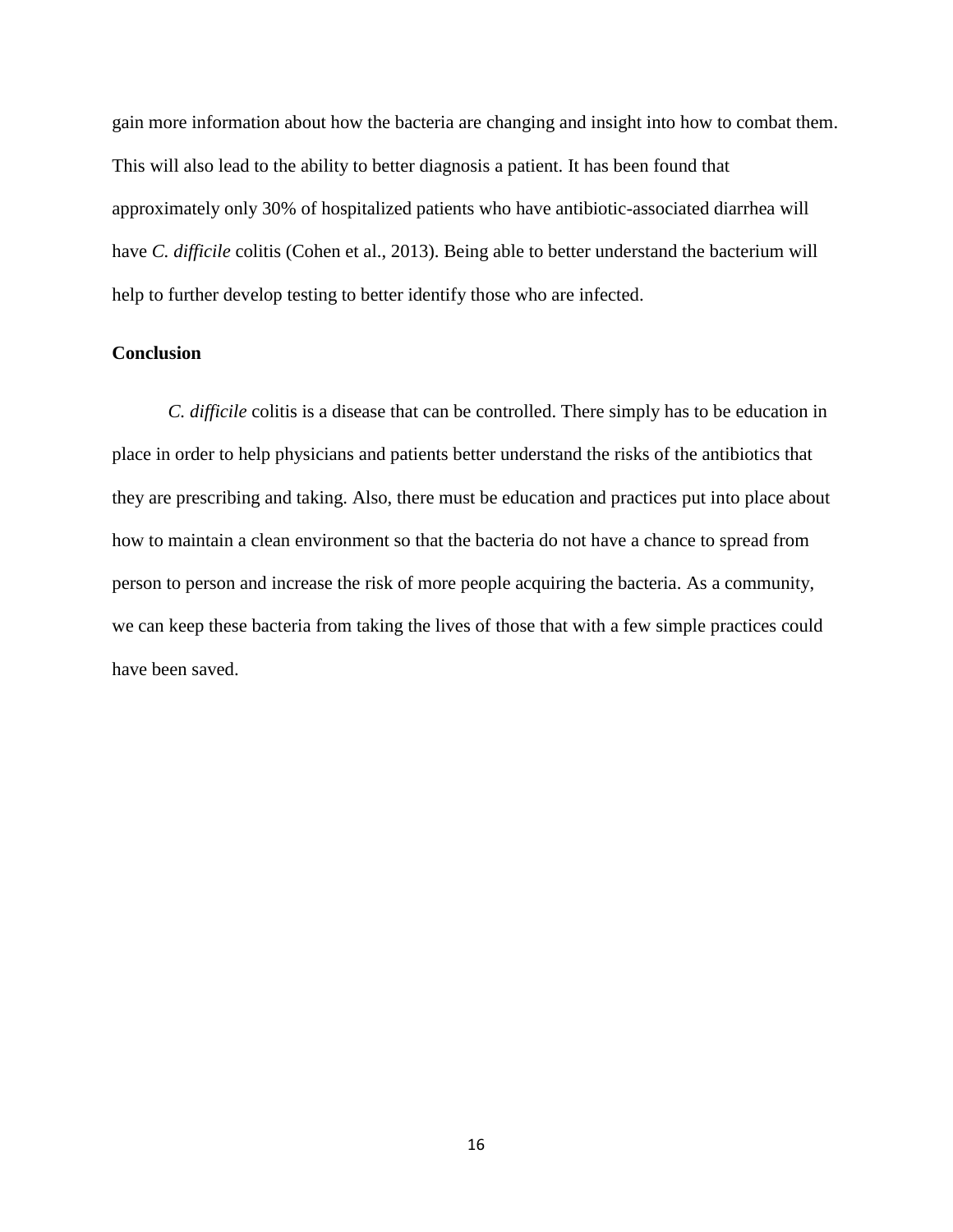gain more information about how the bacteria are changing and insight into how to combat them. This will also lead to the ability to better diagnosis a patient. It has been found that approximately only 30% of hospitalized patients who have antibiotic-associated diarrhea will have *C. difficile* colitis (Cohen et al., 2013). Being able to better understand the bacterium will help to further develop testing to better identify those who are infected.

# **Conclusion**

*C. difficile* colitis is a disease that can be controlled. There simply has to be education in place in order to help physicians and patients better understand the risks of the antibiotics that they are prescribing and taking. Also, there must be education and practices put into place about how to maintain a clean environment so that the bacteria do not have a chance to spread from person to person and increase the risk of more people acquiring the bacteria. As a community, we can keep these bacteria from taking the lives of those that with a few simple practices could have been saved.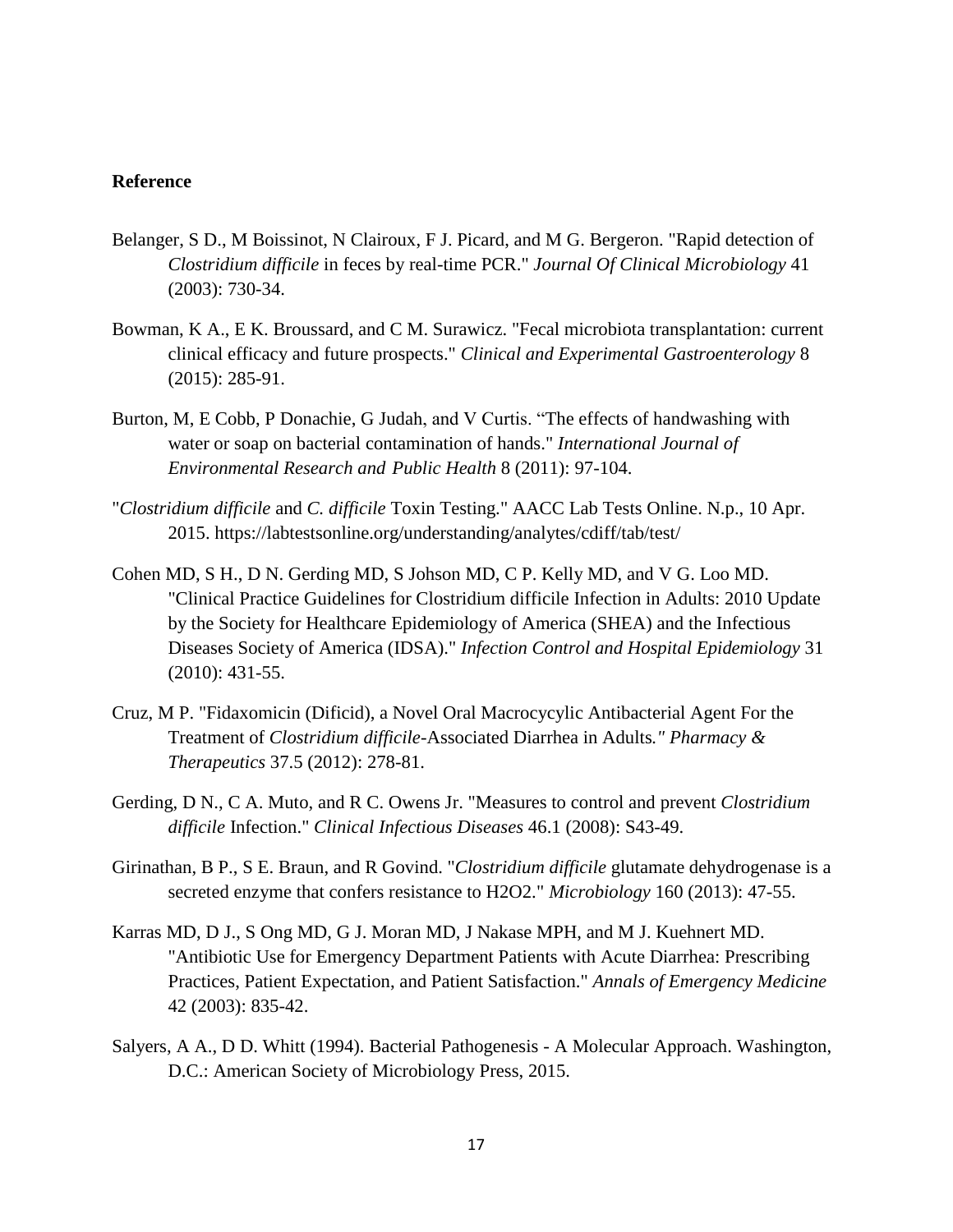#### **Reference**

- Belanger, S D., M Boissinot, N Clairoux, F J. Picard, and M G. Bergeron. "Rapid detection of *Clostridium difficile* in feces by real-time PCR." *Journal Of Clinical Microbiology* 41 (2003): 730-34.
- Bowman, K A., E K. Broussard, and C M. Surawicz. "Fecal microbiota transplantation: current clinical efficacy and future prospects." *Clinical and Experimental Gastroenterology* 8 (2015): 285-91.
- Burton, M, E Cobb, P Donachie, G Judah, and V Curtis. "The effects of handwashing with water or soap on bacterial contamination of hands." *International Journal of Environmental Research and Public Health* 8 (2011): 97-104.
- "*Clostridium difficile* and *C. difficile* Toxin Testing." AACC Lab Tests Online. N.p., 10 Apr. 2015. https://labtestsonline.org/understanding/analytes/cdiff/tab/test/
- Cohen MD, S H., D N. Gerding MD, S Johson MD, C P. Kelly MD, and V G. Loo MD. "Clinical Practice Guidelines for Clostridium difficile Infection in Adults: 2010 Update by the Society for Healthcare Epidemiology of America (SHEA) and the Infectious Diseases Society of America (IDSA)." *Infection Control and Hospital Epidemiology* 31 (2010): 431-55.
- Cruz, M P. "Fidaxomicin (Dificid), a Novel Oral Macrocycylic Antibacterial Agent For the Treatment of *Clostridium difficile*-Associated Diarrhea in Adults*." Pharmacy & Therapeutics* 37.5 (2012): 278-81.
- Gerding, D N., C A. Muto, and R C. Owens Jr. "Measures to control and prevent *Clostridium difficile* Infection." *Clinical Infectious Diseases* 46.1 (2008): S43-49.
- Girinathan, B P., S E. Braun, and R Govind. "*Clostridium difficile* glutamate dehydrogenase is a secreted enzyme that confers resistance to H2O2." *Microbiology* 160 (2013): 47-55.
- Karras MD, D J., S Ong MD, G J. Moran MD, J Nakase MPH, and M J. Kuehnert MD. "Antibiotic Use for Emergency Department Patients with Acute Diarrhea: Prescribing Practices, Patient Expectation, and Patient Satisfaction." *Annals of Emergency Medicine* 42 (2003): 835-42.
- Salyers, A A., D D. Whitt (1994). Bacterial Pathogenesis A Molecular Approach. Washington, D.C.: American Society of Microbiology Press, 2015.